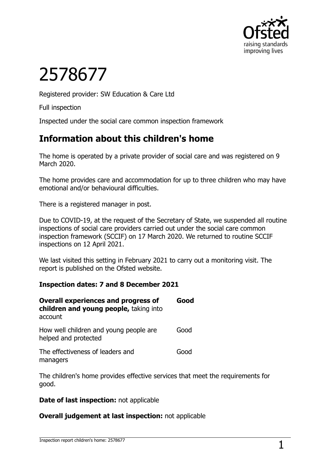

# 2578677

Registered provider: SW Education & Care Ltd

Full inspection

Inspected under the social care common inspection framework

# **Information about this children's home**

The home is operated by a private provider of social care and was registered on 9 March 2020.

The home provides care and accommodation for up to three children who may have emotional and/or behavioural difficulties.

There is a registered manager in post.

Due to COVID-19, at the request of the Secretary of State, we suspended all routine inspections of social care providers carried out under the social care common inspection framework (SCCIF) on 17 March 2020. We returned to routine SCCIF inspections on 12 April 2021.

We last visited this setting in February 2021 to carry out a monitoring visit. The report is published on the Ofsted website.

#### **Inspection dates: 7 and 8 December 2021**

| <b>Overall experiences and progress of</b><br>children and young people, taking into<br>account | Good |
|-------------------------------------------------------------------------------------------------|------|
| How well children and young people are<br>helped and protected                                  | Good |
| The effectiveness of leaders and<br>managers                                                    | Good |

The children's home provides effective services that meet the requirements for good.

#### **Date of last inspection:** not applicable

#### **Overall judgement at last inspection:** not applicable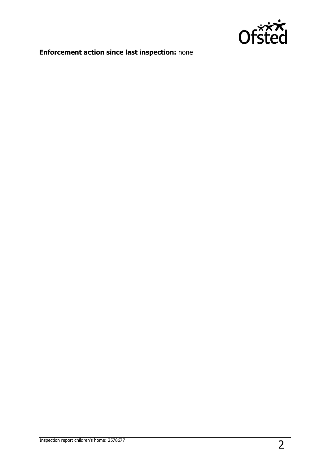

# **Enforcement action since last inspection:** none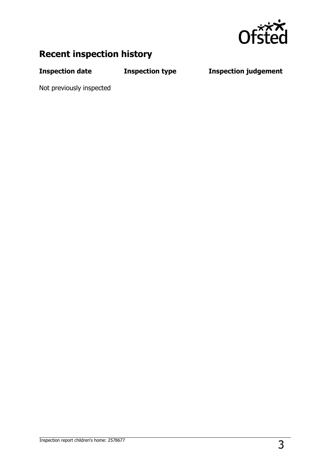

# **Recent inspection history**

**Inspection date Inspection type Inspection judgement**

Not previously inspected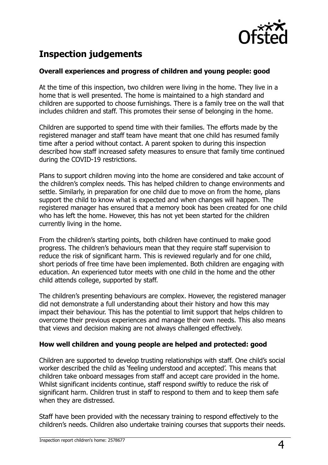

# **Inspection judgements**

#### **Overall experiences and progress of children and young people: good**

At the time of this inspection, two children were living in the home. They live in a home that is well presented. The home is maintained to a high standard and children are supported to choose furnishings. There is a family tree on the wall that includes children and staff. This promotes their sense of belonging in the home.

Children are supported to spend time with their families. The efforts made by the registered manager and staff team have meant that one child has resumed family time after a period without contact. A parent spoken to during this inspection described how staff increased safety measures to ensure that family time continued during the COVID-19 restrictions.

Plans to support children moving into the home are considered and take account of the children's complex needs. This has helped children to change environments and settle. Similarly, in preparation for one child due to move on from the home, plans support the child to know what is expected and when changes will happen. The registered manager has ensured that a memory book has been created for one child who has left the home. However, this has not yet been started for the children currently living in the home.

From the children's starting points, both children have continued to make good progress. The children's behaviours mean that they require staff supervision to reduce the risk of significant harm. This is reviewed regularly and for one child, short periods of free time have been implemented. Both children are engaging with education. An experienced tutor meets with one child in the home and the other child attends college, supported by staff.

The children's presenting behaviours are complex. However, the registered manager did not demonstrate a full understanding about their history and how this may impact their behaviour. This has the potential to limit support that helps children to overcome their previous experiences and manage their own needs. This also means that views and decision making are not always challenged effectively.

#### **How well children and young people are helped and protected: good**

Children are supported to develop trusting relationships with staff. One child's social worker described the child as 'feeling understood and accepted'. This means that children take onboard messages from staff and accept care provided in the home. Whilst significant incidents continue, staff respond swiftly to reduce the risk of significant harm. Children trust in staff to respond to them and to keep them safe when they are distressed.

Staff have been provided with the necessary training to respond effectively to the children's needs. Children also undertake training courses that supports their needs.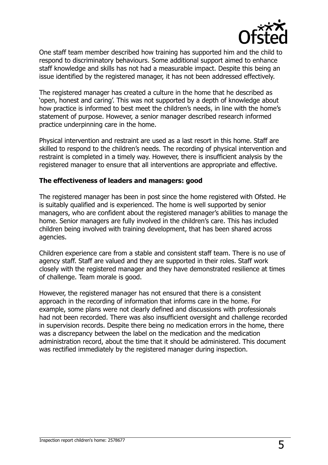

One staff team member described how training has supported him and the child to respond to discriminatory behaviours. Some additional support aimed to enhance staff knowledge and skills has not had a measurable impact. Despite this being an issue identified by the registered manager, it has not been addressed effectively.

The registered manager has created a culture in the home that he described as 'open, honest and caring'. This was not supported by a depth of knowledge about how practice is informed to best meet the children's needs, in line with the home's statement of purpose. However, a senior manager described research informed practice underpinning care in the home.

Physical intervention and restraint are used as a last resort in this home. Staff are skilled to respond to the children's needs. The recording of physical intervention and restraint is completed in a timely way. However, there is insufficient analysis by the registered manager to ensure that all interventions are appropriate and effective.

#### **The effectiveness of leaders and managers: good**

The registered manager has been in post since the home registered with Ofsted. He is suitably qualified and is experienced. The home is well supported by senior managers, who are confident about the registered manager's abilities to manage the home. Senior managers are fully involved in the children's care. This has included children being involved with training development, that has been shared across agencies.

Children experience care from a stable and consistent staff team. There is no use of agency staff. Staff are valued and they are supported in their roles. Staff work closely with the registered manager and they have demonstrated resilience at times of challenge. Team morale is good.

However, the registered manager has not ensured that there is a consistent approach in the recording of information that informs care in the home. For example, some plans were not clearly defined and discussions with professionals had not been recorded. There was also insufficient oversight and challenge recorded in supervision records. Despite there being no medication errors in the home, there was a discrepancy between the label on the medication and the medication administration record, about the time that it should be administered. This document was rectified immediately by the registered manager during inspection.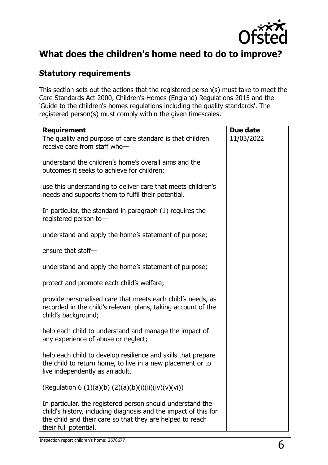

# **What does the children's home need to do to improve?**

## **Statutory requirements**

This section sets out the actions that the registered person(s) must take to meet the Care Standards Act 2000, Children's Homes (England) Regulations 2015 and the 'Guide to the children's homes regulations including the quality standards'. The registered person(s) must comply within the given timescales.

| <b>Requirement</b>                                                                                                                                                                                                  | Due date   |
|---------------------------------------------------------------------------------------------------------------------------------------------------------------------------------------------------------------------|------------|
| The quality and purpose of care standard is that children<br>receive care from staff who-                                                                                                                           | 11/03/2022 |
| understand the children's home's overall aims and the<br>outcomes it seeks to achieve for children;                                                                                                                 |            |
| use this understanding to deliver care that meets children's<br>needs and supports them to fulfil their potential.                                                                                                  |            |
| In particular, the standard in paragraph (1) requires the<br>registered person to-                                                                                                                                  |            |
| understand and apply the home's statement of purpose;                                                                                                                                                               |            |
| ensure that staff-                                                                                                                                                                                                  |            |
| understand and apply the home's statement of purpose;                                                                                                                                                               |            |
| protect and promote each child's welfare;                                                                                                                                                                           |            |
| provide personalised care that meets each child's needs, as<br>recorded in the child's relevant plans, taking account of the<br>child's background;                                                                 |            |
| help each child to understand and manage the impact of<br>any experience of abuse or neglect;                                                                                                                       |            |
| help each child to develop resilience and skills that prepare<br>the child to return home, to live in a new placement or to<br>live independently as an adult.                                                      |            |
| (Regulation 6 (1)(a)(b) (2)(a)(b)(i)(ii)(iv)(v)(vi))                                                                                                                                                                |            |
| In particular, the registered person should understand the<br>child's history, including diagnosis and the impact of this for<br>the child and their care so that they are helped to reach<br>their full potential. |            |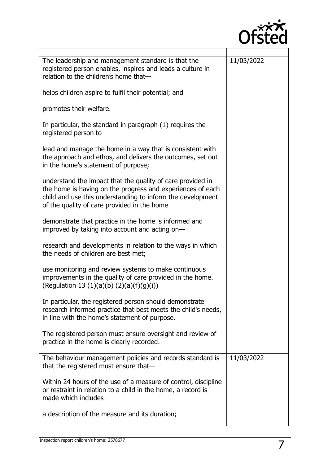

| The leadership and management standard is that the<br>registered person enables, inspires and leads a culture in<br>relation to the children's home that-                                                                             | 11/03/2022 |
|---------------------------------------------------------------------------------------------------------------------------------------------------------------------------------------------------------------------------------------|------------|
| helps children aspire to fulfil their potential; and                                                                                                                                                                                  |            |
| promotes their welfare.                                                                                                                                                                                                               |            |
| In particular, the standard in paragraph (1) requires the<br>registered person to-                                                                                                                                                    |            |
| lead and manage the home in a way that is consistent with<br>the approach and ethos, and delivers the outcomes, set out<br>in the home's statement of purpose;                                                                        |            |
| understand the impact that the quality of care provided in<br>the home is having on the progress and experiences of each<br>child and use this understanding to inform the development<br>of the quality of care provided in the home |            |
| demonstrate that practice in the home is informed and<br>improved by taking into account and acting on-                                                                                                                               |            |
| research and developments in relation to the ways in which<br>the needs of children are best met;                                                                                                                                     |            |
| use monitoring and review systems to make continuous<br>improvements in the quality of care provided in the home.<br>(Regulation 13 (1)(a)(b) (2)(a)(f)(g)(i))                                                                        |            |
| In particular, the registered person should demonstrate<br>research informed practice that best meets the child's needs,<br>in line with the home's statement of purpose.                                                             |            |
| The registered person must ensure oversight and review of<br>practice in the home is clearly recorded.                                                                                                                                |            |
| The behaviour management policies and records standard is<br>that the registered must ensure that-                                                                                                                                    | 11/03/2022 |
| Within 24 hours of the use of a measure of control, discipline<br>or restraint in relation to a child in the home, a record is<br>made which includes-                                                                                |            |
| a description of the measure and its duration;                                                                                                                                                                                        |            |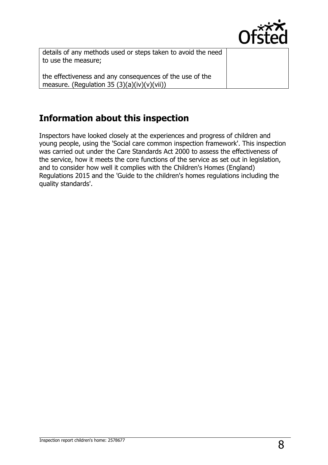

details of any methods used or steps taken to avoid the need to use the measure;

the effectiveness and any consequences of the use of the measure. (Regulation 35  $(3)(a)(iv)(v)(vii)$ )

# **Information about this inspection**

Inspectors have looked closely at the experiences and progress of children and young people, using the 'Social care common inspection framework'. This inspection was carried out under the Care Standards Act 2000 to assess the effectiveness of the service, how it meets the core functions of the service as set out in legislation, and to consider how well it complies with the Children's Homes (England) Regulations 2015 and the 'Guide to the children's homes regulations including the quality standards'.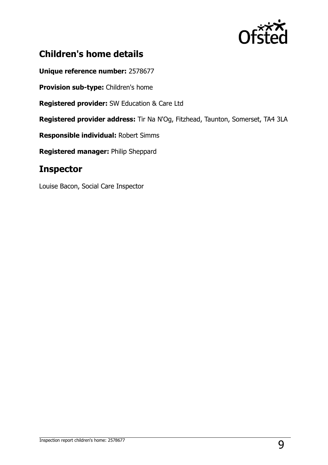

# **Children's home details**

**Unique reference number:** 2578677

**Provision sub-type:** Children's home

**Registered provider:** SW Education & Care Ltd

**Registered provider address:** Tir Na N'Og, Fitzhead, Taunton, Somerset, TA4 3LA

**Responsible individual:** Robert Simms

**Registered manager:** Philip Sheppard

### **Inspector**

Louise Bacon, Social Care Inspector